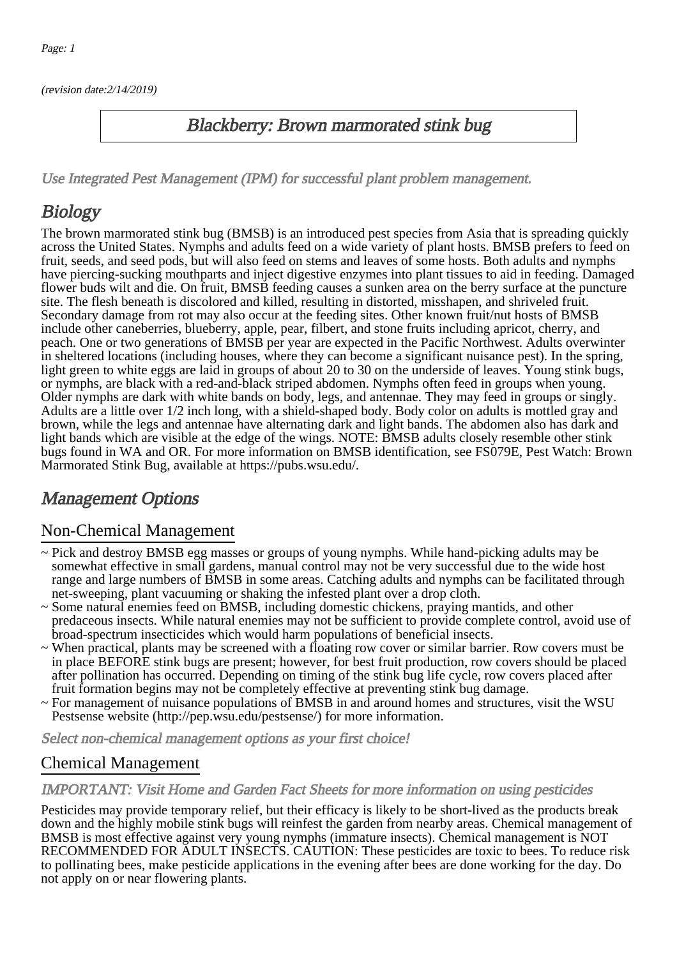(revision date:2/14/2019)

### Blackberry: Brown marmorated stink bug

[Use Integrated Pest Management \(IPM\) for successful plant problem management.](http://pep.wsu.edu/Home_Garden/H_G_Pesticide_info/urban_Integrated_Pest_Managmen/)

## **Biology**

The brown marmorated stink bug (BMSB) is an introduced pest species from Asia that is spreading quickly across the United States. Nymphs and adults feed on a wide variety of plant hosts. BMSB prefers to feed on fruit, seeds, and seed pods, but will also feed on stems and leaves of some hosts. Both adults and nymphs have piercing-sucking mouthparts and inject digestive enzymes into plant tissues to aid in feeding. Damaged flower buds wilt and die. On fruit, BMSB feeding causes a sunken area on the berry surface at the puncture site. The flesh beneath is discolored and killed, resulting in distorted, misshapen, and shriveled fruit. Secondary damage from rot may also occur at the feeding sites. Other known fruit/nut hosts of BMSB include other caneberries, blueberry, apple, pear, filbert, and stone fruits including apricot, cherry, and peach. One or two generations of BMSB per year are expected in the Pacific Northwest. Adults overwinter in sheltered locations (including houses, where they can become a significant nuisance pest). In the spring, light green to white eggs are laid in groups of about 20 to 30 on the underside of leaves. Young stink bugs, or nymphs, are black with a red-and-black striped abdomen. Nymphs often feed in groups when young. Older nymphs are dark with white bands on body, legs, and antennae. They may feed in groups or singly. Adults are a little over 1/2 inch long, with a shield-shaped body. Body color on adults is mottled gray and brown, while the legs and antennae have alternating dark and light bands. The abdomen also has dark and light bands which are visible at the edge of the wings. NOTE: BMSB adults closely resemble other stink bugs found in WA and OR. For more information on BMSB identification, see FS079E, Pest Watch: Brown Marmorated Stink Bug, available at https://pubs.wsu.edu/.

## Management Options

#### Non-Chemical Management

- ~ Pick and destroy BMSB egg masses or groups of young nymphs. While hand-picking adults may be somewhat effective in small gardens, manual control may not be very successful due to the wide host range and large numbers of BMSB in some areas. Catching adults and nymphs can be facilitated through net-sweeping, plant vacuuming or shaking the infested plant over a drop cloth.
- ~ Some natural enemies feed on BMSB, including domestic chickens, praying mantids, and other predaceous insects. While natural enemies may not be sufficient to provide complete control, avoid use of broad-spectrum insecticides which would harm populations of beneficial insects.
- ~ When practical, plants may be screened with a floating row cover or similar barrier. Row covers must be in place BEFORE stink bugs are present; however, for best fruit production, row covers should be placed after pollination has occurred. Depending on timing of the stink bug life cycle, row covers placed after fruit formation begins may not be completely effective at preventing stink bug damage.
- ~ For management of nuisance populations of BMSB in and around homes and structures, visit the WSU Pestsense website (http://pep.wsu.edu/pestsense/) for more information.

Select non-chemical management options as your first choice!

#### Chemical Management

#### IMPORTANT: [Visit Home and Garden Fact Sheets for more information on using pesticides](http://pep.wsu.edu/Home_Garden/H_G_Pesticide_info/)

Pesticides may provide temporary relief, but their efficacy is likely to be short-lived as the products break down and the highly mobile stink bugs will reinfest the garden from nearby areas. Chemical management of BMSB is most effective against very young nymphs (immature insects). Chemical management is NOT RECOMMENDED FOR ADULT INSECTS. CAUTION: These pesticides are toxic to bees. To reduce risk to pollinating bees, make pesticide applications in the evening after bees are done working for the day. Do not apply on or near flowering plants.